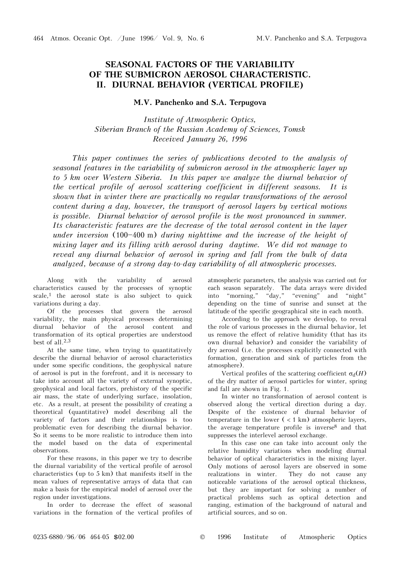## **SEASONAL FACTORS OF THE VARIABILITY OF THE SUBMICRON AEROSOL CHARACTERISTIC. II. DIURNAL BEHAVIOR (VERTICAL PROFILE)**

## **M.V. Panchenko and S.A. Terpugova**

*Institute of Atmospheric Optics, Siberian Branch of the Russian Academy of Sciences, Tomsk Received January 26, 1996* 

*This paper continues the series of publications devoted to the analysis of seasonal features in the variability of submicron aerosol in the atmospheric layer up to 5 km over Western Siberia. In this paper we analyze the diurnal behavior of the vertical profile of aerosol scattering coefficient in different seasons. It is shown that in winter there are practically no regular transformations of the aerosol content during a day, however, the transport of aerosol layers by vertical motions is possible. Diurnal behavior of aerosol profile is the most pronounced in summer. Its characteristic features are the decrease of the total aerosol content in the layer under inversion* (100-400 m) *during nighttime and the increase of the height of mixing layer and its filling with aerosol during daytime. We did not manage to reveal any diurnal behavior of aerosol in spring and fall from the bulk of data analyzed, because of a strong day-to-day variability of all atmospheric processes.* 

Along with the variability of aerosol characteristics caused by the processes of synoptic  $scale<sup>1</sup>$ , the aerosol state is also subject to quick variations during a day.

Of the processes that govern the aerosol variability, the main physical processes determining diurnal behavior of the aerosol content and transformation of its optical properties are understood best of all.2,3

At the same time, when trying to quantitatively describe the diurnal behavior of aerosol characteristics under some specific conditions, the geophysical nature of aerosol is put in the forefront, and it is necessary to take into account all the variety of external synoptic, geophysical and local factors, prehistory of the specific air mass, the state of underlying surface, insolation, etc. As a result, at present the possibility of creating a theoretical (quantitative) model describing all the variety of factors and their relationships is too problematic even for describing the diurnal behavior. So it seems to be more realistic to introduce them into the model based on the data of experimental observations.

For these reasons, in this paper we try to describe the diurnal variability of the vertical profile of aerosol characteristics (up to 5 km) that manifests itself in the mean values of representative arrays of data that can make a basis for the empirical model of aerosol over the region under investigations.

In order to decrease the effect of seasonal variations in the formation of the vertical profiles of atmospheric parameters, the analysis was carried out for each season separately. The data arrays were divided into "morning," "day," "evening" and "night" depending on the time of sunrise and sunset at the latitude of the specific geographical site in each month.

According to the approach we develop, to reveal the role of various processes in the diurnal behavior, let us remove the effect of relative humidity (that has its own diurnal behavior) and consider the variability of dry aerosol (i.e. the processes explicitly connected with formation, generation and sink of particles from the atmosphere).

Vertical profiles of the scattering coefficient  $\sigma_d(H)$ of the dry matter of aerosol particles for winter, spring and fall are shown in Fig. 1.

In winter no transformation of aerosol content is observed along the vertical direction during a day. Despite of the existence of diurnal behavior of temperature in the lower  $(< 1 \text{ km})$  atmospheric layers, the average temperature profile is inverse8 and that suppresses the interlevel aerosol exchange.

In this case one can take into account only the relative humidity variations when modeling diurnal behavior of optical characteristics in the mixing layer. Only motions of aerosol layers are observed in some realizations in winter. They do not cause any noticeable variations of the aerosol optical thickness, but they are important for solving a number of practical problems such as optical detection and ranging, estimation of the background of natural and artificial sources, and so on.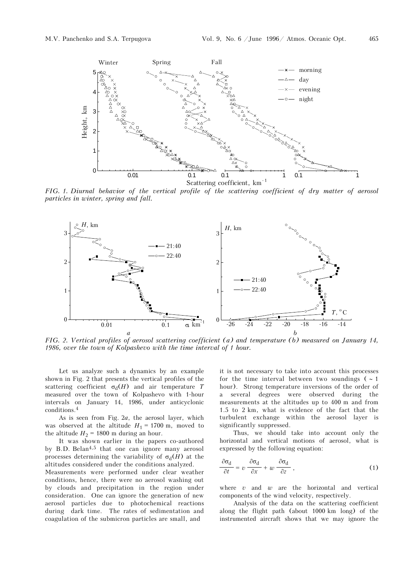

*FIG. 1. Diurnal behavior of the vertical profile of the scattering coefficient of dry matter of aerosol particles in winter, spring and fall.* 



*FIG. 2. Vertical profiles of aerosol scattering coefficient (a) and temperature (b) measured on January 14, 1986, over the town of Kolpashevo with the time interval of 1 hour.*

Let us analyze such a dynamics by an example shown in Fig. 2 that presents the vertical profiles of the scattering coefficient  $\sigma_d(H)$  and air temperature *T* measured over the town of Kolpashevo with 1-hour intervals on January 14, 1986, under anticyclonic conditions.4

As is seen from Fig. 2*a*, the aerosol layer, which was observed at the altitude  $H_1 = 1700$  m, moved to the altitude  $H_2$  = 1800 m during an hour.

It was shown earlier in the papers co-authored by B.D. Belan<sup>4,5</sup> that one can ignore many aerosol processes determining the variability of  $\sigma_d(H)$  at the altitudes considered under the conditions analyzed.

Measurements were performed under clear weather conditions, hence, there were no aerosol washing out by clouds and precipitation in the region under consideration. One can ignore the generation of new aerosol particles due to photochemical reactions during dark time. The rates of sedimentation and coagulation of the submicron particles are small, and

it is not necessary to take into account this processes for the time interval between two soundings ( $\sim 1$ ) hour). Strong temperature inversions of the order of a several degrees were observed during the measurements at the altitudes up to 400 m and from 1.5 to 2 km, what is evidence of the fact that the turbulent exchange within the aerosol layer is significantly suppressed.

Thus, we should take into account only the horizontal and vertical motions of aerosol, what is expressed by the following equation:

$$
\frac{\partial \sigma_{d}}{\partial t} = v \frac{\partial \sigma_{d}}{\partial x} + w \frac{\partial \sigma_{d}}{\partial z} , \qquad (1)
$$

where *v* and *w* are the horizontal and vertical components of the wind velocity, respectively.

Analysis of the data on the scattering coefficient along the flight path (about 1000 km long) of the instrumented aircraft shows that we may ignore the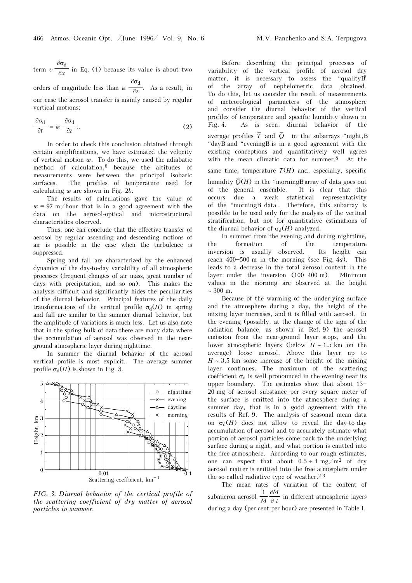term *v*  $\frac{\partial \sigma_d}{\partial x}$  $\frac{\partial x}{\partial x}$  in Eq. (1) because its value is about two

orders of magnitude less than *w* ∂σ<sub>d</sub>  $\frac{\partial z}{\partial z}$ . As a result, in our case the aerosol transfer is mainly caused by regular vertical motions:

$$
\frac{\partial \sigma_{\rm d}}{\partial t} = w \frac{\partial \sigma_{\rm d}}{\partial z} \tag{2}
$$

In order to check this conclusion obtained through certain simplifications, we have estimated the velocity of vertical motion *w*. To do this, we used the adiabatic method of calculation,6 because the altitudes of measurements were between the principal isobaric surfaces. The profiles of temperature used for calculating *w* are shown in Fig. 2*b*.

The results of calculations gave the value of  $w = 97$  m/hour that is in a good agreement with the data on the aerosol-optical and microstructural characteristics observed.

Thus, one can conclude that the effective transfer of aerosol by regular ascending and descending motions of air is possible in the case when the turbulence is suppressed.

Spring and fall are characterized by the enhanced dynamics of the day-to-day variability of all atmospheric processes (frequent changes of air mass, great number of days with precipitation, and so on). This makes the analysis difficult and significantly hides the peculiarities of the diurnal behavior. Principal features of the daily transformations of the vertical profile  $\sigma_d(H)$  in spring and fall are similar to the summer diurnal behavior, but the amplitude of variations is much less. Let us also note that in the spring bulk of data there are many data where the accumulation of aerosol was observed in the nearground atmospheric layer during nighttime.

In summer the diurnal behavior of the aerosol vertical profile is most explicit. The average summer profile  $\sigma_d(H)$  is shown in Fig. 3.



*FIG. 3. Diurnal behavior of the vertical profile of the scattering coefficient of dry matter of aerosol particles in summer.* 

Before describing the principal processes of variability of the vertical profile of aerosol dry matter, it is necessary to assess the "quality  $\vec{B}$ of the array of nephelometric data obtained. To do this, let us consider the result of measurements of meteorological parameters of the atmosphere and consider the diurnal behavior of the vertical profiles of temperature and specific humidity shown in Fig. 4. As is seen, diurnal behavior of the average profiles  $\overline{T}$  and  $\overline{Q}$  in the subarrays "night, B "dayB and "eveningB is in a good agreement with the existing conceptions and quantitatively well agrees with the mean climatic data for summer.8 At the same time, temperature  $\overline{T}(H)$  and, especially, specific humidity  $\overline{Q}(H)$  in the "morningB array of data goes out of the general ensemble. It is clear that this occurs due a weak statistical representativity<br>of the "morning Bdata. Therefore, this subarray is Therefore, this subarray is possible to be used only for the analysis of the vertical stratification, but not for quantitative estimations of the diurnal behavior of  $\sigma_d(H)$  analyzed.

In summer from the evening and during nighttime, the formation of the temperature inversion is usually observed. Its height can reach  $400 - 500$  m in the morning (see Fig.  $4a$ ). This leads to a decrease in the total aerosol content in the layer under the inversion  $(100-400 \text{ m})$ . Minimum values in the morning are observed at the height ∼ 300 m.

Because of the warming of the underlying surface and the atmosphere during a day, the height of the mixing layer increases, and it is filled with aerosol. In the evening (possibly, at the change of the sign of the radiation balance, as shown in Ref. 9) the aerosol emission from the near-ground layer stops, and the lower atmospheric layers (below *H* ∼ 1.5 km on the average) loose aerosol. Above this layer up to *H* ∼ 3.5 km some increase of the height of the mixing layer continues. The maximum of the scattering coefficient  $\sigma_d$  is well pronounced in the evening near its upper boundary. The estimates show that about  $15$ -20 mg of aerosol substance per every square meter of the surface is emitted into the atmosphere during a summer day, that is in a good agreement with the results of Ref. 9. The analysis of seasonal mean data on  $\sigma_d(H)$  does not allow to reveal the day-to-day accumulation of aerosol and to accurately estimate what portion of aerosol particles come back to the underlying surface during a night, and what portion is emitted into the free atmosphere. According to our rough estimates, one can expect that about  $0.5 \div 1$  mg/m<sup>2</sup> of dry aerosol matter is emitted into the free atmosphere under the so-called radiative type of weather.<sup>2.3</sup>

The mean rates of variation of the content of submicron aerosol  $\frac{1}{M}$ *M t* ∂M in different atmospheric layers during a day (per cent per hour) are presented in Table I.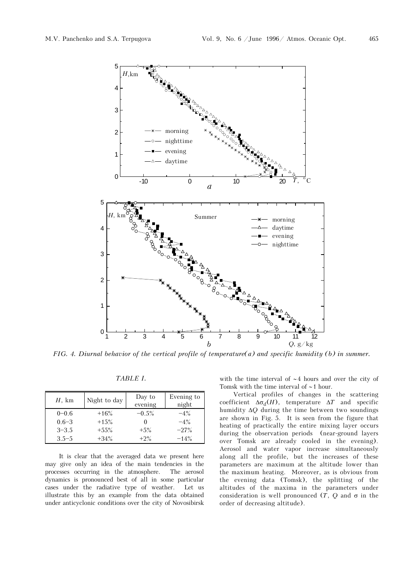

*FIG. 4. Diurnal behavior of the vertical profile of temperature(a) and specific humidity (b) in summer.* 

|--|

| $H$ , km  | Night to day | Day to<br>evening | Evening to<br>night |
|-----------|--------------|-------------------|---------------------|
| $0 - 0.6$ | $+16%$       | $-0.5%$           | $-4\%$              |
| $0.6 - 3$ | $+15%$       |                   | $-4\%$              |
| $3 - 3.5$ | $+55\%$      | $+5\%$            | $-27%$              |
| $3.5 - 5$ | $+34%$       | $+2\%$            | $-14%$              |

It is clear that the averaged data we present here may give only an idea of the main tendencies in the processes occurring in the atmosphere. The aerosol dynamics is pronounced best of all in some particular cases under the radiative type of weather. Let us illustrate this by an example from the data obtained under anticyclonic conditions over the city of Novosibirsk with the time interval of ∼4 hours and over the city of Tomsk with the time interval of ∼1 hour.

Vertical profiles of changes in the scattering coefficient  $\Delta \sigma_d(H)$ , temperature  $\Delta T$  and specific humidity Δ*Q* during the time between two soundings are shown in Fig. 5. It is seen from the figure that heating of practically the entire mixing layer occurs during the observation periods (near-ground layers over Tomsk are already cooled in the evening). Aerosol and water vapor increase simultaneously along all the profile, but the increases of these parameters are maximum at the altitude lower than the maximum heating. Moreover, as is obvious from the evening data (Tomsk), the splitting of the altitudes of the maxima in the parameters under consideration is well pronounced  $(T, Q)$  and  $\sigma$  in the order of decreasing altitude).